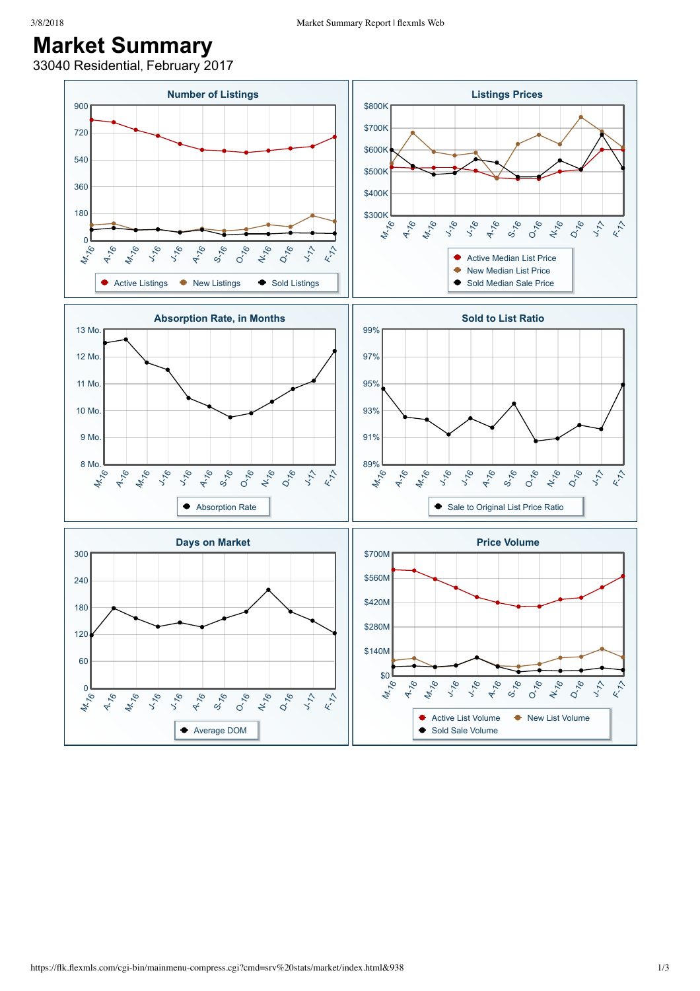## **Market Summary**

33040 Residential, February 2017

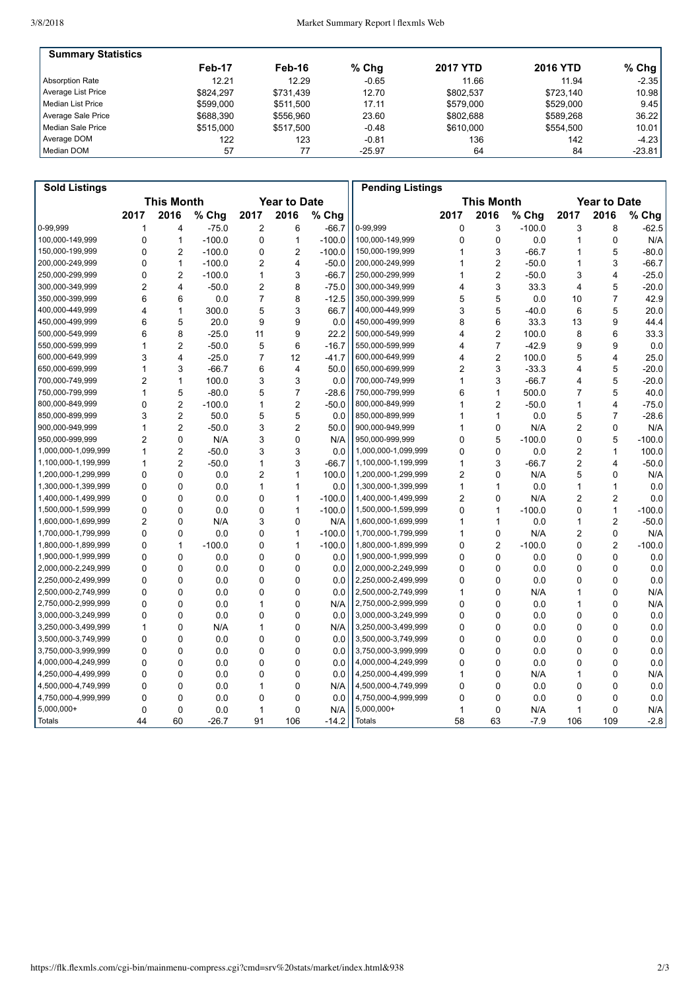| <b>Summary Statistics</b> |           |           |          |                 |                 |           |
|---------------------------|-----------|-----------|----------|-----------------|-----------------|-----------|
|                           | Feb-17    | Feb-16    | $%$ Chg  | <b>2017 YTD</b> | <b>2016 YTD</b> | % Chg $ $ |
| <b>Absorption Rate</b>    | 12.21     | 12.29     | $-0.65$  | 11.66           | 11.94           | $-2.35$   |
| Average List Price        | \$824.297 | \$731.439 | 12.70    | \$802.537       | \$723.140       | 10.98     |
| l Median List Price       | \$599,000 | \$511,500 | 17.11    | \$579.000       | \$529.000       | 9.45      |
| Average Sale Price        | \$688,390 | \$556.960 | 23.60    | \$802.688       | \$589.268       | 36.22     |
| Median Sale Price         | \$515,000 | \$517.500 | $-0.48$  | \$610,000       | \$554.500       | 10.01     |
| Average DOM               | 122       | 123       | $-0.81$  | 136             | 142             | $-4.23$   |
| Median DOM                | 57        | 77        | $-25.97$ | 64              | 84              | $-23.81$  |

| <b>Sold Listings</b> |                   |                |          |                     |                |          | <b>Pending Listings</b> |                   |                |          |                     |                |          |
|----------------------|-------------------|----------------|----------|---------------------|----------------|----------|-------------------------|-------------------|----------------|----------|---------------------|----------------|----------|
|                      | <b>This Month</b> |                |          | <b>Year to Date</b> |                |          |                         | <b>This Month</b> |                |          | <b>Year to Date</b> |                |          |
|                      | 2017              | 2016           | % Chg    | 2017                | 2016           | % Chg    |                         | 2017              | 2016           | % Chg    | 2017                | 2016           | % Chg    |
| 0-99.999             | 1                 | 4              | $-75.0$  | 2                   | 6              | $-66.7$  | 0-99.999                | 0                 | 3              | $-100.0$ | 3                   | 8              | $-62.5$  |
| 100,000-149,999      | $\mathbf 0$       | $\mathbf{1}$   | $-100.0$ | 0                   | $\mathbf{1}$   | $-100.0$ | 100,000-149,999         | 0                 | $\mathbf 0$    | 0.0      | 1                   | 0              | N/A      |
| 150,000-199,999      | $\mathbf 0$       | $\overline{2}$ | $-100.0$ | 0                   | $\overline{2}$ | $-100.0$ | 150,000-199,999         | 1                 | 3              | $-66.7$  | 1                   | 5              | $-80.0$  |
| 200,000-249,999      | $\mathbf 0$       | $\mathbf{1}$   | $-100.0$ | 2                   | 4              | $-50.0$  | 200,000-249,999         | 1                 | $\overline{2}$ | $-50.0$  | 1                   | 3              | $-66.7$  |
| 250,000-299,999      | $\mathbf 0$       | 2              | $-100.0$ | 1                   | 3              | $-66.7$  | 250,000-299,999         | 1                 | $\overline{c}$ | $-50.0$  | 3                   | $\overline{4}$ | $-25.0$  |
| 300,000-349,999      | $\overline{2}$    | 4              | $-50.0$  | 2                   | 8              | $-75.0$  | 300,000-349,999         | 4                 | 3              | 33.3     | $\overline{4}$      | 5              | $-20.0$  |
| 350.000-399.999      | 6                 | 6              | 0.0      | $\overline{7}$      | 8              | $-12.5$  | 350,000-399,999         | 5                 | 5              | 0.0      | 10                  | $\overline{7}$ | 42.9     |
| 400,000-449,999      | $\overline{4}$    | 1              | 300.0    | 5                   | 3              | 66.7     | 400,000-449,999         | 3                 | 5              | $-40.0$  | 6                   | 5              | 20.0     |
| 450,000-499,999      | 6                 | 5              | 20.0     | 9                   | 9              | 0.0      | 450,000-499,999         | 8                 | 6              | 33.3     | 13                  | 9              | 44.4     |
| 500.000-549.999      | 6                 | 8              | $-25.0$  | 11                  | 9              | 22.2     | 500.000-549.999         | 4                 | $\overline{c}$ | 100.0    | 8                   | 6              | 33.3     |
| 550,000-599,999      | $\mathbf{1}$      | $\overline{2}$ | $-50.0$  | 5                   | 6              | $-16.7$  | 550,000-599,999         | 4                 | $\overline{7}$ | $-42.9$  | 9                   | 9              | 0.0      |
| 600,000-649,999      | 3                 | 4              | $-25.0$  | $\overline{7}$      | 12             | $-41.7$  | 600,000-649,999         | 4                 | $\overline{a}$ | 100.0    | 5                   | $\overline{4}$ | 25.0     |
| 650,000-699,999      | 1                 | 3              | $-66.7$  | 6                   | 4              | 50.0     | 650,000-699,999         | 2                 | 3              | $-33.3$  | 4                   | 5              | $-20.0$  |
| 700,000-749,999      | $\overline{2}$    | $\mathbf{1}$   | 100.0    | 3                   | 3              | 0.0      | 700,000-749,999         | 1                 | 3              | $-66.7$  | 4                   | 5              | $-20.0$  |
| 750,000-799,999      | $\mathbf{1}$      | 5              | $-80.0$  | 5                   | $\overline{7}$ | $-28.6$  | 750,000-799,999         | 6                 | $\mathbf{1}$   | 500.0    | $\overline{7}$      | 5              | 40.0     |
| 800,000-849,999      | $\mathbf 0$       | $\overline{2}$ | $-100.0$ | 1                   | $\overline{2}$ | $-50.0$  | 800,000-849,999         | 1                 | $\overline{c}$ | $-50.0$  | 1                   | $\overline{4}$ | $-75.0$  |
| 850,000-899,999      | 3                 | $\overline{2}$ | 50.0     | 5                   | 5              | 0.0      | 850,000-899,999         | 1                 | 1              | 0.0      | 5                   | $\overline{7}$ | $-28.6$  |
| 900,000-949,999      | $\mathbf{1}$      | $\overline{2}$ | $-50.0$  | 3                   | $\overline{2}$ | 50.0     | 900,000-949,999         | 1                 | 0              | N/A      | $\overline{2}$      | $\mathbf 0$    | N/A      |
| 950,000-999,999      | $\overline{2}$    | $\mathbf 0$    | N/A      | 3                   | $\mathbf 0$    | N/A      | 950,000-999,999         | 0                 | 5              | $-100.0$ | 0                   | 5              | $-100.0$ |
| 1,000,000-1,099,999  | $\mathbf{1}$      | $\overline{2}$ | $-50.0$  | 3                   | 3              | 0.0      | 1,000,000-1,099,999     | 0                 | 0              | 0.0      | 2                   | $\mathbf{1}$   | 100.0    |
| 1,100,000-1,199,999  | $\mathbf 1$       | $\overline{2}$ | $-50.0$  | 1                   | 3              | $-66.7$  | 1,100,000-1,199,999     | 1                 | 3              | $-66.7$  | $\overline{2}$      | $\overline{4}$ | $-50.0$  |
| 1,200,000-1,299,999  | $\mathbf 0$       | $\mathbf 0$    | 0.0      | $\overline{2}$      | $\mathbf{1}$   | 100.0    | 1,200,000-1,299,999     | $\overline{2}$    | 0              | N/A      | 5                   | $\mathbf 0$    | N/A      |
| 1,300,000-1,399,999  | $\mathbf 0$       | $\mathbf 0$    | 0.0      | 1                   | 1              | 0.0      | 1,300,000-1,399,999     | 1                 | 1              | 0.0      | 1                   | $\mathbf{1}$   | 0.0      |
| 1,400,000-1,499,999  | $\Omega$          | $\Omega$       | 0.0      | $\Omega$            | $\mathbf{1}$   | $-100.0$ | 1,400,000-1,499,999     | $\overline{2}$    | 0              | N/A      | 2                   | $\overline{2}$ | 0.0      |
| 1,500,000-1,599,999  | $\Omega$          | $\Omega$       | 0.0      | 0                   | 1              | $-100.0$ | 1,500,000-1,599,999     | 0                 | 1              | $-100.0$ | 0                   | $\mathbf{1}$   | $-100.0$ |
| 1,600,000-1,699,999  | $\overline{2}$    | $\mathbf 0$    | N/A      | 3                   | 0              | N/A      | 1,600,000-1,699,999     | 1                 | 1              | 0.0      | 1                   | $\overline{2}$ | $-50.0$  |
| 1,700,000-1,799,999  | $\Omega$          | $\Omega$       | 0.0      | 0                   | $\mathbf{1}$   | $-100.0$ | 1,700,000-1,799,999     | 1                 | $\Omega$       | N/A      | 2                   | $\mathbf 0$    | N/A      |
| 1,800,000-1,899,999  | $\mathbf 0$       | 1              | $-100.0$ | 0                   | $\mathbf{1}$   | $-100.0$ | 1,800,000-1,899,999     | 0                 | $\overline{2}$ | $-100.0$ | $\mathbf 0$         | $\overline{2}$ | $-100.0$ |
| 1,900,000-1,999,999  | $\Omega$          | $\Omega$       | 0.0      | 0                   | 0              | 0.0      | 1,900,000-1,999,999     | 0                 | 0              | 0.0      | $\mathbf 0$         | $\mathbf{0}$   | 0.0      |
| 2,000,000-2,249,999  | $\Omega$          | $\Omega$       | 0.0      | 0                   | $\Omega$       | 0.0      | 2,000,000-2,249,999     | 0                 | 0              | 0.0      | $\Omega$            | $\Omega$       | 0.0      |
| 2,250,000-2,499,999  | $\Omega$          | $\mathbf 0$    | 0.0      | 0                   | $\mathbf 0$    | 0.0      | 2,250,000-2,499,999     | 0                 | 0              | 0.0      | 0                   | $\mathbf 0$    | 0.0      |
| 2,500,000-2,749,999  | $\mathbf{0}$      | $\Omega$       | 0.0      | 0                   | $\Omega$       | 0.0      | 2,500,000-2,749,999     | 1                 | 0              | N/A      | 1                   | $\Omega$       | N/A      |
| 2,750,000-2,999,999  | $\Omega$          | $\Omega$       | 0.0      | 1                   | $\Omega$       | N/A      | 2,750,000-2,999,999     | 0                 | 0              | 0.0      | 1                   | $\mathbf{0}$   | N/A      |
| 3,000,000-3,249,999  | $\Omega$          | $\mathbf 0$    | 0.0      | 0                   | $\mathbf 0$    | 0.0      | 3,000,000-3,249,999     | 0                 | 0              | 0.0      | $\mathbf 0$         | $\mathbf 0$    | 0.0      |
| 3,250,000-3,499,999  | $\mathbf{1}$      | $\mathbf 0$    | N/A      | 1                   | 0              | N/A      | 3,250,000-3,499,999     | 0                 | 0              | 0.0      | $\mathbf 0$         | $\mathbf 0$    | 0.0      |
| 3,500,000-3,749,999  | $\Omega$          | $\Omega$       | 0.0      | $\Omega$            | 0              | 0.0      | 3,500,000-3,749,999     | 0                 | 0              | 0.0      | 0                   | $\Omega$       | 0.0      |
| 3,750,000-3,999,999  | $\Omega$          | $\mathbf 0$    | 0.0      | 0                   | $\mathbf 0$    | 0.0      | 3,750,000-3,999,999     | 0                 | 0              | 0.0      | 0                   | $\Omega$       | 0.0      |
| 4,000,000-4,249,999  | $\mathbf{0}$      | $\Omega$       | 0.0      | 0                   | $\Omega$       | 0.0      | 4,000,000-4,249,999     | 0                 | $\Omega$       | 0.0      | 0                   | $\mathbf{0}$   | 0.0      |
| 4,250,000-4,499,999  | $\mathbf 0$       | $\mathbf 0$    | 0.0      | 0                   | 0              | 0.0      | 4,250,000-4,499,999     | 1                 | 0              | N/A      | 1                   | $\mathbf 0$    | N/A      |
| 4,500,000-4,749,999  | $\mathbf 0$       | $\mathbf 0$    | 0.0      | 1                   | $\mathbf 0$    | N/A      | 4,500,000-4,749,999     | 0                 | 0              | 0.0      | $\mathbf 0$         | $\mathbf 0$    | 0.0      |
| 4,750,000-4,999,999  | $\mathbf{0}$      | $\Omega$       | 0.0      | 0                   | $\Omega$       | 0.0      | 4,750,000-4,999,999     | 0                 | $\mathbf{0}$   | 0.0      | 0                   | $\Omega$       | 0.0      |
| 5,000,000+           | $\mathbf 0$       | 0              | 0.0      | 1                   | 0              | N/A      | $5,000,000+$            | 1                 | $\mathbf 0$    | N/A      | 1                   | $\mathbf 0$    | N/A      |
| <b>Totals</b>        | 44                | 60             | $-26.7$  | 91                  | 106            | $-14.2$  | <b>Totals</b>           | 58                | 63             | $-7.9$   | 106                 | 109            | $-2.8$   |